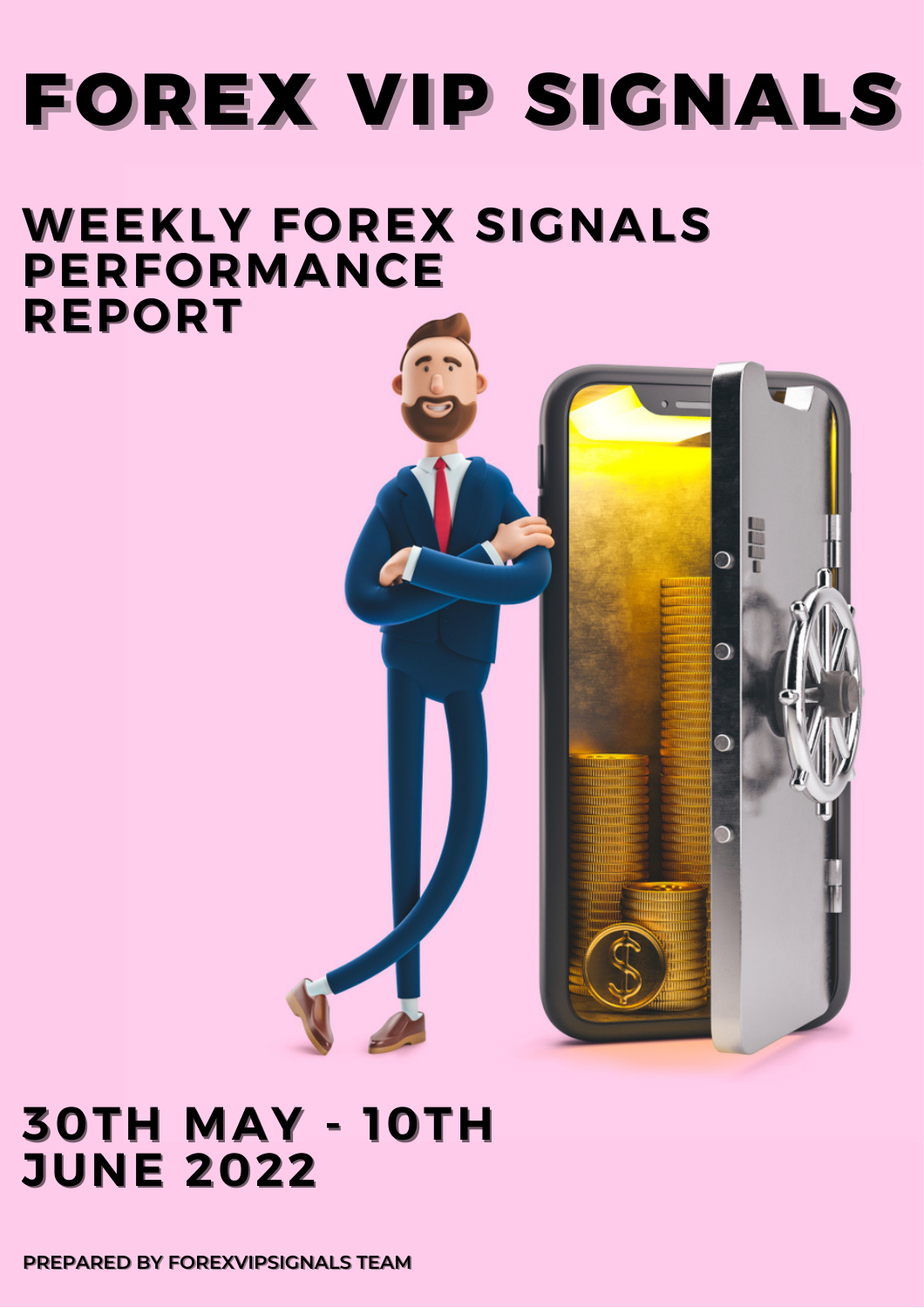# **FOREX VIP SIGNALS**

FEE

### **WEEKLY FOREX SIGNALS PERFORMANCE REPORT**

### **30TH MAY - 10TH JUNE 2022**

**PREPARED BY FOREXVIPSIGNALS TEAM**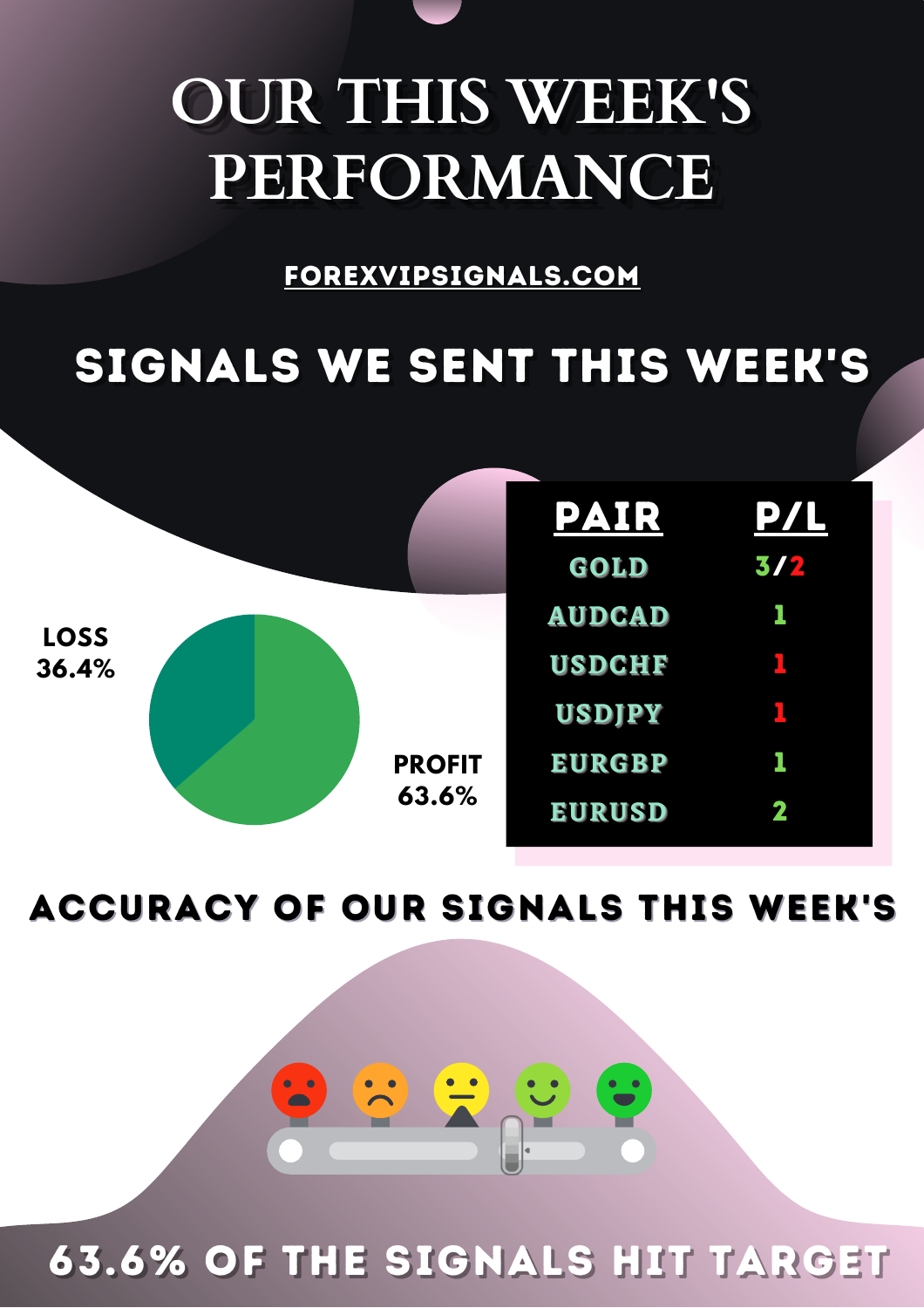## **OUR THIS WEEK'S** PERFORMANCE

FOREXVIPSIGNALS.COM

## SIGNALS WE SENT THIS WEEK'S

|                      |  |                        | PAIR          | <b>PZI</b> |
|----------------------|--|------------------------|---------------|------------|
| <b>LOSS</b><br>36.4% |  |                        | GOLD          | 3/2        |
|                      |  |                        | <b>AUDCAD</b> |            |
|                      |  |                        | <b>USDCHF</b> |            |
|                      |  |                        | <b>USDIPY</b> |            |
|                      |  | <b>PROFIT</b><br>63.6% | <b>EURGBP</b> |            |
|                      |  |                        | <b>EURUSD</b> | 2          |

**ACCURACY OF OUR SIGNALS THIS WEEK'S** 

63.6% OF THE SIGNALS HIT TARGET